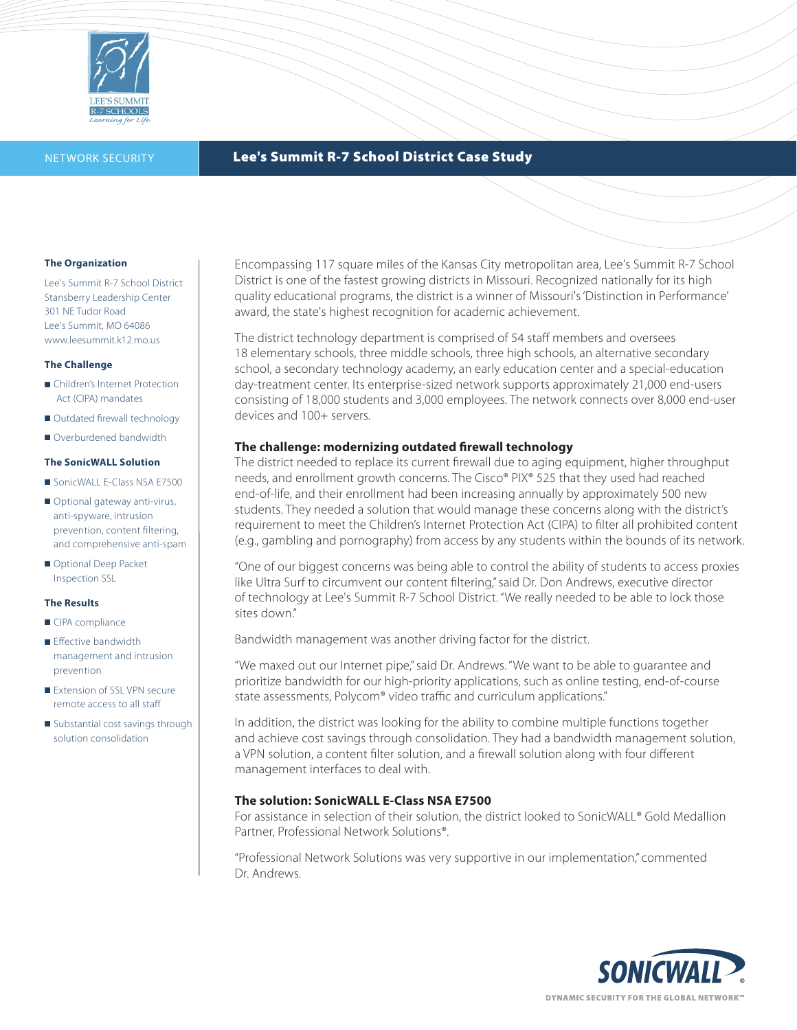

# NETWORK SECURITY **Lee's Summit R-7 School District Case Study**

#### **The Organization**

Lee's Summit R-7 School District Stansberry Leadership Center 301 NE Tudor Road Lee's Summit, MO 64086 www.leesummit.k12.mo.us

### **The Challenge**

- Children's Internet Protection Act (CIPA) mandates
- Outdated firewall technology
- Overburdened bandwidth

### **The SonicWALL Solution**

- SonicWALL E-Class NSA E7500
- Optional gateway anti-virus, anti-spyware, intrusion prevention, content filtering, and comprehensive anti-spam
- Optional Deep Packet Inspection SSL

### **The Results**

- CIPA compliance
- Effective bandwidth management and intrusion prevention
- Extension of SSL VPN secure remote access to all staff
- Substantial cost savings through solution consolidation

Encompassing 117 square miles of the Kansas City metropolitan area, Lee's Summit R-7 School District is one of the fastest growing districts in Missouri. Recognized nationally for its high quality educational programs, the district is a winner of Missouri's 'Distinction in Performance' award, the state's highest recognition for academic achievement.

The district technology department is comprised of 54 staff members and oversees 18 elementary schools, three middle schools, three high schools, an alternative secondary school, a secondary technology academy, an early education center and a special-education day-treatment center. Its enterprise-sized network supports approximately 21,000 end-users consisting of 18,000 students and 3,000 employees. The network connects over 8,000 end-user devices and 100+ servers.

## **The challenge: modernizing outdated firewall technology**

The district needed to replace its current firewall due to aging equipment, higher throughput needs, and enrollment growth concerns. The Cisco® PIX® 525 that they used had reached end-of-life, and their enrollment had been increasing annually by approximately 500 new students. They needed a solution that would manage these concerns along with the district's requirement to meet the Children's Internet Protection Act (CIPA) to filter all prohibited content (e.g., gambling and pornography) from access by any students within the bounds of its network.

"One of our biggest concerns was being able to control the ability of students to access proxies like Ultra Surf to circumvent our content filtering," said Dr. Don Andrews, executive director of technology at Lee's Summit R-7 School District. "We really needed to be able to lock those sites down."

Bandwidth management was another driving factor for the district.

"We maxed out our Internet pipe," said Dr. Andrews. "We want to be able to guarantee and prioritize bandwidth for our high-priority applications, such as online testing, end-of-course state assessments, Polycom® video traffic and curriculum applications."

In addition, the district was looking for the ability to combine multiple functions together and achieve cost savings through consolidation. They had a bandwidth management solution, a VPN solution, a content filter solution, and a firewall solution along with four different management interfaces to deal with.

### **The solution: SonicWALL E-Class NSA E7500**

For assistance in selection of their solution, the district looked to SonicWALL® Gold Medallion Partner, Professional Network Solutions®.

"Professional Network Solutions was very supportive in our implementation," commented Dr. Andrews.